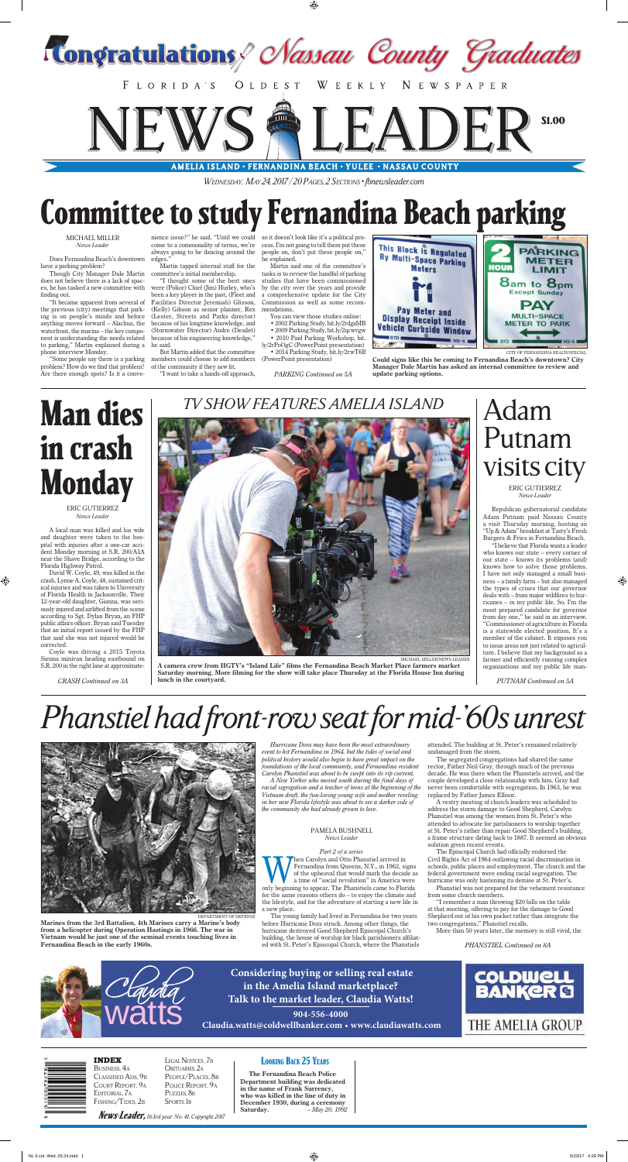*Wednesday, May 24, 2017 / 20 Pages, 2 Sections • [fbnewsleader.com](http://www.fbnewsleader.com)*

## **Committee to study Fernandina Beach parking**

## MICHAEL MILLER *News-Leader*

Does Fernandina Beach's downtown have a parking problem?

Though City Manager Dale Martin does not believe there is a lack of spaces, he has tasked a new committee with finding out.

"It became apparent from several of the previous (city) meetings that parking is on people's minds and before anything moves forward – Alachua, the waterfront, the marina – the key component is understanding the needs related to parking," Martin explained during a phone interview Monday.

"Some people say there is a parking problem? How do we find that problem? Are there enough spots? Is it a conve-

nience issue?" he said. "Until we could come to a commonality of terms, we're always going to be dancing around the edges."

Martin tapped internal staff for the committee's initial membership.

"I thought some of the best ones were (Police) Chief (Jim) Hurley, who's been a key player in the past, (Fleet and Facilities Director Jeremiah) Glisson, (Kelly) Gibson as senior planner, Rex (Lester, Streets and Parks director) because of his longtime knowledge, and (Stormwater Director) Andre (Desilet) because of his engineering knowledge," he said.

But Martin added that the committee members could choose to add members of the community if they saw fit.

"I want to take a hands-off approach,

so it doesn't look like it's a political process. I'm not going to tell them put these people on, don't put these people on," he explained.

Martin said one of the committee's tasks is to review the handful of parking studies that have been commissioned by the city over the years and provide a comprehensive update for the City Commission as well as some recommendations.

You can view those studies online: • 2002 Parking Study, bit.ly/2rdgaMB

• 2009 Parking Study, bit.ly/2qcwvgw

• 2010 Paid Parking Workshop, bit. ly/2rPoOgC (PowerPoint presentation) • 2014 Parking Study, bit.ly/2rwT6If (PowerPoint presentation)

*[PARKING Continued on 5A](#page-1-0)* **update parking options.**



CITY OF FERNANDINA BEACH/SPECIAL

**Could signs like this be coming to Fernandina Beach's downtown? City Manager Dale Martin has asked an internal committee to review and**